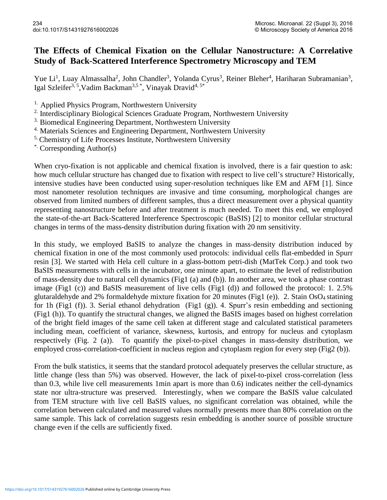## **The Effects of Chemical Fixation on the Cellular Nanostructure: A Correlative Study of Back-Scattered Interference Spectrometry Microscopy and TEM**

Yue Li<sup>1</sup>, Luay Almassalha<sup>2</sup>, John Chandler<sup>3</sup>, Yolanda Cyrus<sup>3</sup>, Reiner Bleher<sup>4</sup>, Hariharan Subramanian<sup>3</sup>, Igal Szleifer<sup>3, 5</sup>, Vadim Backman<sup>3,5</sup>\*, Vinayak Dravid<sup>4, 5\*</sup>

<sup>1.</sup> Applied Physics Program, Northwestern University

<sup>2.</sup> Interdisciplinary Biological Sciences Graduate Program, Northwestern University

<sup>3.</sup> Biomedical Engineering Department, Northwestern University

<sup>4.</sup> Materials Sciences and Engineering Department, Northwestern University

5. Chemistry of Life Processes Institute, Northwestern University

\*. Corresponding Author(s)

When cryo-fixation is not applicable and chemical fixation is involved, there is a fair question to ask: how much cellular structure has changed due to fixation with respect to live cell's structure? Historically, intensive studies have been conducted using super-resolution techniques like EM and AFM [1]. Since most nanometer resolution techniques are invasive and time consuming, morphological changes are observed from limited numbers of different samples, thus a direct measurement over a physical quantity representing nanostructure before and after treatment is much needed. To meet this end, we employed the state-of-the-art Back-Scattered Interference Spectroscopic (BaSIS) [2] to monitor cellular structural changes in terms of the mass-density distribution during fixation with 20 nm sensitivity.

In this study, we employed BaSIS to analyze the changes in mass-density distribution induced by chemical fixation in one of the most commonly used protocols: individual cells flat-embedded in Spurr resin [3]. We started with Hela cell culture in a glass-bottom petri-dish (MatTek Corp.) and took two BaSIS measurements with cells in the incubator, one minute apart, to estimate the level of redistribution of mass-density due to natural cell dynamics (Fig1 (a) and (b)). In another area, we took a phase contrast image (Fig1 (c)) and BaSIS measurement of live cells (Fig1 (d)) and followed the protocol: 1. 2.5% glutaraldehyde and 2% formaldehyde mixture fixation for 20 minutes (Fig1 (e)). 2. Stain OsO<sup>4</sup> statining for 1h (Fig1 (f)). 3. Serial ethanol dehydration (Fig1 (g)). 4. Spurr's resin embedding and sectioning (Fig1 (h)). To quantify the structural changes, we aligned the BaSIS images based on highest correlation of the bright field images of the same cell taken at different stage and calculated statistical parameters including mean, coefficient of variance, skewness, kurtosis, and entropy for nucleus and cytoplasm respectively (Fig. 2 (a)). To quantify the pixel-to-pixel changes in mass-density distribution, we employed cross-correlation-coefficient in nucleus region and cytoplasm region for every step (Fig2 (b)).

From the bulk statistics, it seems that the standard protocol adequately preserves the cellular structure, as little change (less than 5%) was observed. However, the lack of pixel-to-pixel cross-correlation (less than 0.3, while live cell measurements 1min apart is more than 0.6) indicates neither the cell-dynamics state nor ultra-structure was preserved. Interestingly, when we compare the BaSIS value calculated from TEM structure with live cell BaSIS values, no significant correlation was obtained, while the correlation between calculated and measured values normally presents more than 80% correlation on the same sample. This lack of correlation suggests resin embedding is another source of possible structure change even if the cells are sufficiently fixed.